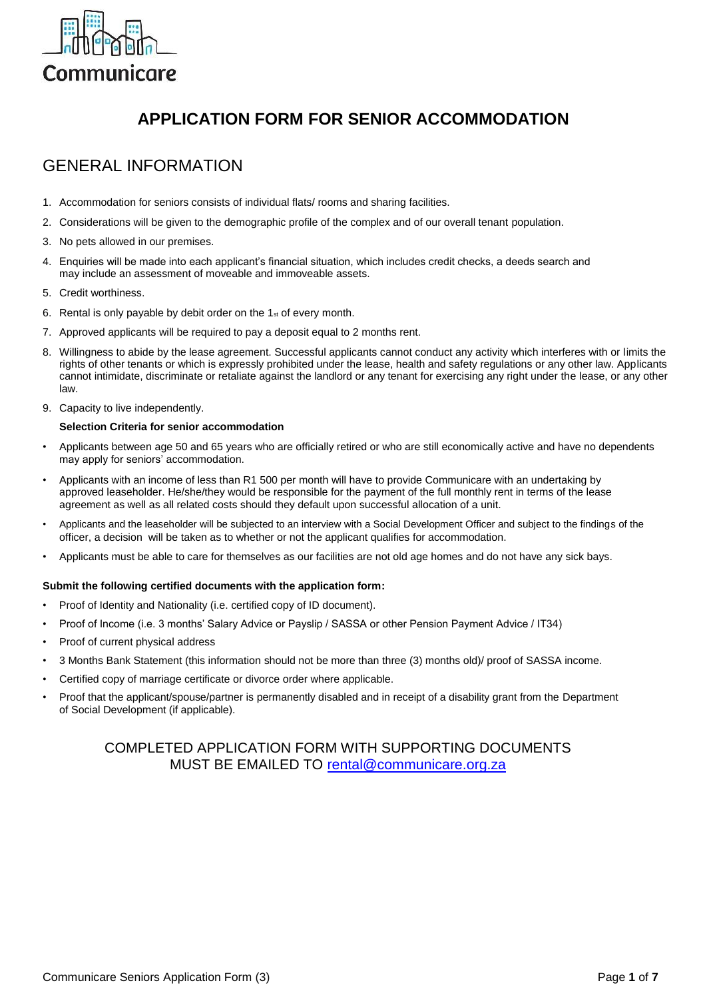

# **APPLICATION FORM FOR SENIOR ACCOMMODATION**

## GENERAL INFORMATION

- 1. Accommodation for seniors consists of individual flats/ rooms and sharing facilities.
- 2. Considerations will be given to the demographic profile of the complex and of our overall tenant population.
- 3. No pets allowed in our premises.
- 4. Enquiries will be made into each applicant's financial situation, which includes credit checks, a deeds search and may include an assessment of moveable and immoveable assets.
- 5. Credit worthiness.
- 6. Rental is only payable by debit order on the  $1<sub>st</sub>$  of every month.
- 7. Approved applicants will be required to pay a deposit equal to 2 months rent.
- 8. Willingness to abide by the lease agreement. Successful applicants cannot conduct any activity which interferes with or limits the rights of other tenants or which is expressly prohibited under the lease, health and safety regulations or any other law. Applicants cannot intimidate, discriminate or retaliate against the landlord or any tenant for exercising any right under the lease, or any other law.
- 9. Capacity to live independently.

#### **Selection Criteria for senior accommodation**

- Applicants between age 50 and 65 years who are officially retired or who are still economically active and have no dependents may apply for seniors' accommodation.
- Applicants with an income of less than R1 500 per month will have to provide Communicare with an undertaking by approved leaseholder. He/she/they would be responsible for the payment of the full monthly rent in terms of the lease agreement as well as all related costs should they default upon successful allocation of a unit.
- Applicants and the leaseholder will be subjected to an interview with a Social Development Officer and subject to the findings of the officer, a decision will be taken as to whether or not the applicant qualifies for accommodation.
- Applicants must be able to care for themselves as our facilities are not old age homes and do not have any sick bays.

#### **Submit the following certified documents with the application form:**

- Proof of Identity and Nationality (i.e. certified copy of ID document).
- Proof of Income (i.e. 3 months' Salary Advice or Payslip / SASSA or other Pension Payment Advice / IT34)
- Proof of current physical address
- 3 Months Bank Statement (this information should not be more than three (3) months old)/ proof of SASSA income.
- Certified copy of marriage certificate or divorce order where applicable.
- Proof that the applicant/spouse/partner is permanently disabled and in receipt of a disability grant from the Department of Social Development (if applicable).

#### COMPLETED APPLICATION FORM WITH SUPPORTING DOCUMENTS MUST BE EMAILED TO [rental@communicare.org.za](mailto:rental@communicare.org.za)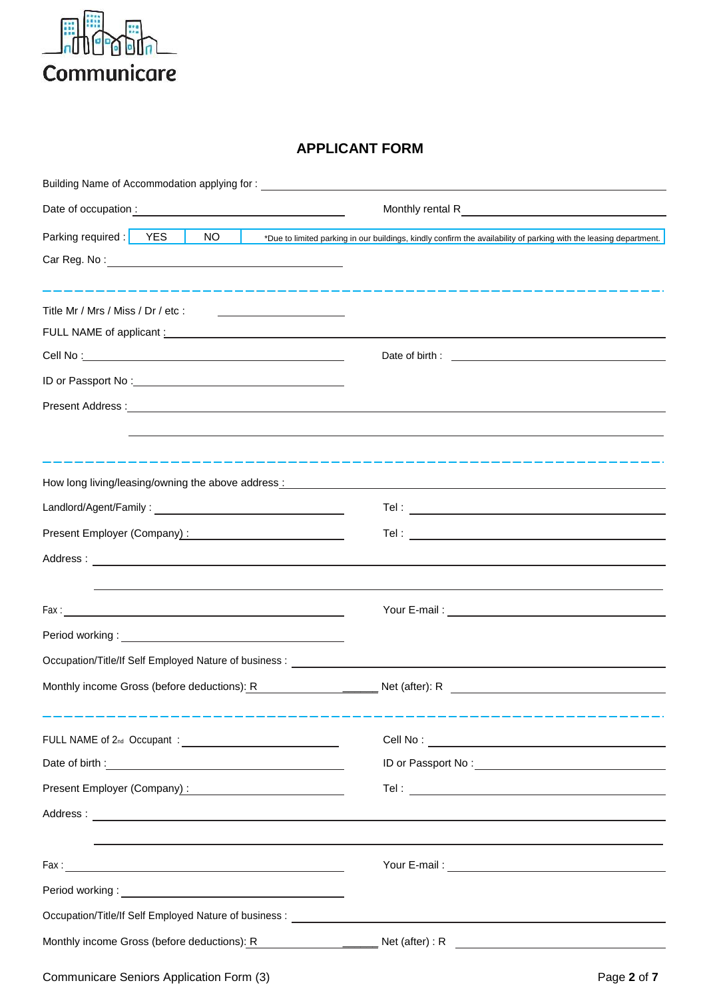

#### **APPLICANT FORM**

| Building Name of Accommodation applying for: ___________________________________                                                                                                                                               |                                                                                                                                                                                                                                                                                                                                                    |
|--------------------------------------------------------------------------------------------------------------------------------------------------------------------------------------------------------------------------------|----------------------------------------------------------------------------------------------------------------------------------------------------------------------------------------------------------------------------------------------------------------------------------------------------------------------------------------------------|
|                                                                                                                                                                                                                                | Monthly rental R<br><u>Monthly</u> rental R                                                                                                                                                                                                                                                                                                        |
| Parking required : YES<br>NO                                                                                                                                                                                                   | *Due to limited parking in our buildings, kindly confirm the availability of parking with the leasing department.                                                                                                                                                                                                                                  |
|                                                                                                                                                                                                                                |                                                                                                                                                                                                                                                                                                                                                    |
|                                                                                                                                                                                                                                | <u> 2012 - 2013 - 2014 - 2014 - 2014 - 2014 - 2014 - 2014 - 2014 - 2014 - 2014 - 2014 - 2014 - 2014 - 20</u>                                                                                                                                                                                                                                       |
| Title Mr / Mrs / Miss / Dr / etc :<br><u> Alexandria (m. 1858)</u>                                                                                                                                                             |                                                                                                                                                                                                                                                                                                                                                    |
| FULL NAME of applicant : the contract of the contract of the contract of the contract of the contract of the contract of the contract of the contract of the contract of the contract of the contract of the contract of the c |                                                                                                                                                                                                                                                                                                                                                    |
|                                                                                                                                                                                                                                |                                                                                                                                                                                                                                                                                                                                                    |
|                                                                                                                                                                                                                                |                                                                                                                                                                                                                                                                                                                                                    |
|                                                                                                                                                                                                                                |                                                                                                                                                                                                                                                                                                                                                    |
|                                                                                                                                                                                                                                |                                                                                                                                                                                                                                                                                                                                                    |
|                                                                                                                                                                                                                                | المتراكب المراكب المراكب المراكب المراكب المراكب المراكب المراكب المراكب المراكب المراكب المراكب المراكب المراكب<br>How long living/leasing/owning the above address: Manual Community of the state of the state of the state of the state of the state of the state of the state of the state of the state of the state of the state of the state |
| Landlord/Agent/Family: Note and the contract of the contract of the contract of the contract of the contract of                                                                                                                |                                                                                                                                                                                                                                                                                                                                                    |
|                                                                                                                                                                                                                                |                                                                                                                                                                                                                                                                                                                                                    |
| Present Employer (Company):                                                                                                                                                                                                    |                                                                                                                                                                                                                                                                                                                                                    |
|                                                                                                                                                                                                                                |                                                                                                                                                                                                                                                                                                                                                    |
|                                                                                                                                                                                                                                |                                                                                                                                                                                                                                                                                                                                                    |
|                                                                                                                                                                                                                                |                                                                                                                                                                                                                                                                                                                                                    |
| Period working: version of the contract of the contract of the contract of the contract of the contract of the                                                                                                                 |                                                                                                                                                                                                                                                                                                                                                    |
|                                                                                                                                                                                                                                |                                                                                                                                                                                                                                                                                                                                                    |
| Monthly income Gross (before deductions): R                                                                                                                                                                                    |                                                                                                                                                                                                                                                                                                                                                    |
|                                                                                                                                                                                                                                |                                                                                                                                                                                                                                                                                                                                                    |
|                                                                                                                                                                                                                                |                                                                                                                                                                                                                                                                                                                                                    |
| Present Employer (Company) : Network and the set of the set of the set of the set of the set of the set of the                                                                                                                 |                                                                                                                                                                                                                                                                                                                                                    |
|                                                                                                                                                                                                                                |                                                                                                                                                                                                                                                                                                                                                    |
|                                                                                                                                                                                                                                |                                                                                                                                                                                                                                                                                                                                                    |
|                                                                                                                                                                                                                                |                                                                                                                                                                                                                                                                                                                                                    |
|                                                                                                                                                                                                                                |                                                                                                                                                                                                                                                                                                                                                    |
|                                                                                                                                                                                                                                |                                                                                                                                                                                                                                                                                                                                                    |
|                                                                                                                                                                                                                                | Monthly income Gross (before deductions): R Net (after): R Net (after) : R Net (after) : R Net (after) : R Net (after) : R Net (after) : R Net (after) : R Net (after) : R Net (after) : R Net (after) : R Net (after) : R Net                                                                                                                     |
|                                                                                                                                                                                                                                |                                                                                                                                                                                                                                                                                                                                                    |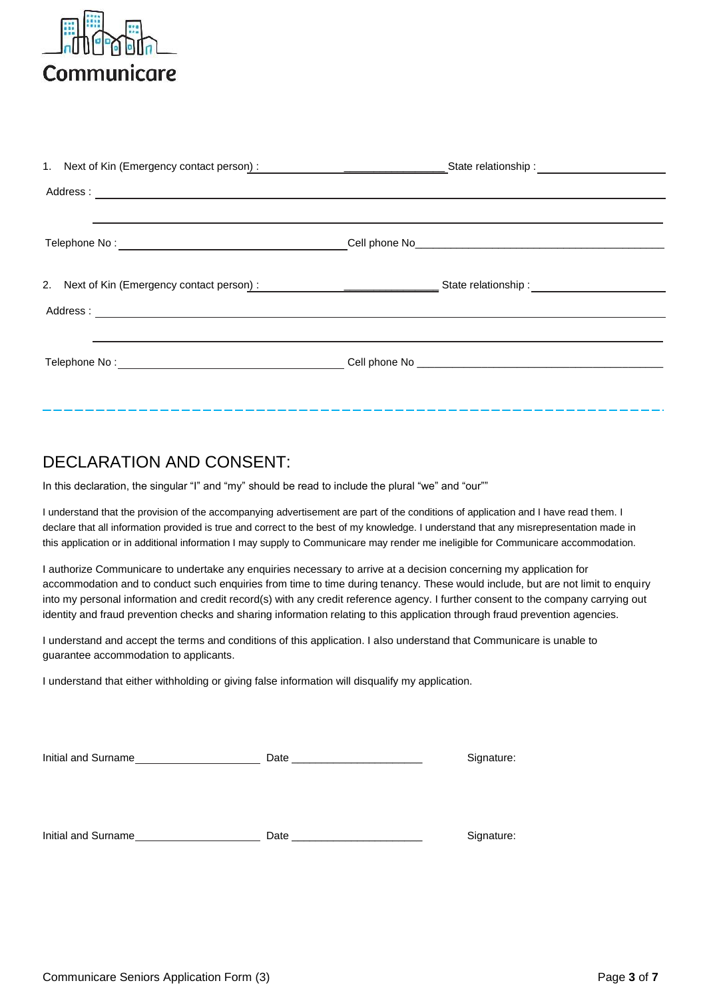

### DECLARATION AND CONSENT:

In this declaration, the singular "I" and "my" should be read to include the plural "we" and "our""

I understand that the provision of the accompanying advertisement are part of the conditions of application and I have read them. I declare that all information provided is true and correct to the best of my knowledge. I understand that any misrepresentation made in this application or in additional information I may supply to Communicare may render me ineligible for Communicare accommodation.

I authorize Communicare to undertake any enquiries necessary to arrive at a decision concerning my application for accommodation and to conduct such enquiries from time to time during tenancy. These would include, but are not limit to enquiry into my personal information and credit record(s) with any credit reference agency. I further consent to the company carrying out identity and fraud prevention checks and sharing information relating to this application through fraud prevention agencies.

I understand and accept the terms and conditions of this application. I also understand that Communicare is unable to guarantee accommodation to applicants.

I understand that either withholding or giving false information will disqualify my application.

| Initial and Surname | Date and the contract of the contract of the contract of the contract of the contract of the contract of the contract of the contract of the contract of the contract of the contract of the contract of the contract of the c | Signature: |
|---------------------|--------------------------------------------------------------------------------------------------------------------------------------------------------------------------------------------------------------------------------|------------|
|                     |                                                                                                                                                                                                                                |            |
|                     |                                                                                                                                                                                                                                |            |
| Initial and Surname | Date                                                                                                                                                                                                                           | Signature: |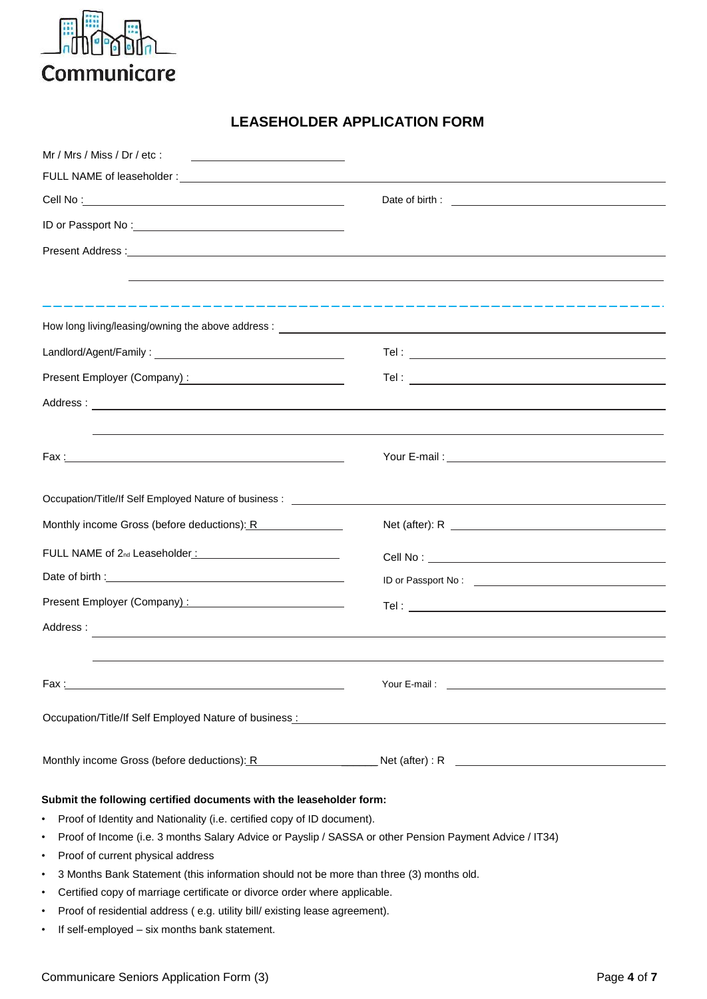

### **LEASEHOLDER APPLICATION FORM**

| Mr / Mrs / Miss / Dr / etc :<br><u> Alexandria (Carlo Carlo Carlo Carlo Carlo Carlo Carlo Carlo Carlo Carlo Carlo Carlo Carlo Carlo Carlo Carlo Ca</u>                                                                        |                                                                                                                                                                                                                                      |  |  |
|-------------------------------------------------------------------------------------------------------------------------------------------------------------------------------------------------------------------------------|--------------------------------------------------------------------------------------------------------------------------------------------------------------------------------------------------------------------------------------|--|--|
|                                                                                                                                                                                                                               |                                                                                                                                                                                                                                      |  |  |
|                                                                                                                                                                                                                               |                                                                                                                                                                                                                                      |  |  |
|                                                                                                                                                                                                                               |                                                                                                                                                                                                                                      |  |  |
|                                                                                                                                                                                                                               |                                                                                                                                                                                                                                      |  |  |
|                                                                                                                                                                                                                               |                                                                                                                                                                                                                                      |  |  |
|                                                                                                                                                                                                                               |                                                                                                                                                                                                                                      |  |  |
|                                                                                                                                                                                                                               |                                                                                                                                                                                                                                      |  |  |
|                                                                                                                                                                                                                               |                                                                                                                                                                                                                                      |  |  |
|                                                                                                                                                                                                                               |                                                                                                                                                                                                                                      |  |  |
|                                                                                                                                                                                                                               |                                                                                                                                                                                                                                      |  |  |
|                                                                                                                                                                                                                               |                                                                                                                                                                                                                                      |  |  |
|                                                                                                                                                                                                                               |                                                                                                                                                                                                                                      |  |  |
|                                                                                                                                                                                                                               |                                                                                                                                                                                                                                      |  |  |
| Occupation/Title/If Self Employed Nature of business: ___________________________                                                                                                                                             |                                                                                                                                                                                                                                      |  |  |
| Monthly income Gross (before deductions): R                                                                                                                                                                                   |                                                                                                                                                                                                                                      |  |  |
|                                                                                                                                                                                                                               |                                                                                                                                                                                                                                      |  |  |
|                                                                                                                                                                                                                               |                                                                                                                                                                                                                                      |  |  |
| Present Employer (Company): 2009 2010 2020 2021                                                                                                                                                                               |                                                                                                                                                                                                                                      |  |  |
| Address:                                                                                                                                                                                                                      |                                                                                                                                                                                                                                      |  |  |
|                                                                                                                                                                                                                               | ,我们也不能在这里的时候,我们也不能在这里的时候,我们也不能会在这里的时候,我们也不能会在这里的时候,我们也不能会在这里的时候,我们也不能会在这里的时候,我们也                                                                                                                                                     |  |  |
|                                                                                                                                                                                                                               | <b>The Second Second Second Second Second Second Second Second Second Second Second Second Second Second Second Second Second Second Second Second Second Second Second Second Second Second Second Second Second Second Second </b> |  |  |
|                                                                                                                                                                                                                               |                                                                                                                                                                                                                                      |  |  |
| Occupation/Title/If Self Employed Nature of business: Nature 2012 19:30 AM AND THE SERVICE OF STRAIN AND THE SCREEN OF STRAIN AND THE SERVICE OF STRAIN AND THE STRAIN AND THE STRAIN OF STRAIN AND THE STRAIN AND THE STRAIN |                                                                                                                                                                                                                                      |  |  |
|                                                                                                                                                                                                                               | Monthly income Gross (before deductions): R Net (after): R Net (after): R Net (after): R Net (after): R Net (after): R Net (after): R Net (after): R Net (after): R Net (after): R Net (after): R Net (after): R Net (after):        |  |  |
|                                                                                                                                                                                                                               |                                                                                                                                                                                                                                      |  |  |
| Submit the following certified documents with the leaseholder form:                                                                                                                                                           |                                                                                                                                                                                                                                      |  |  |
| Proof of Identity and Nationality (i.e. certified copy of ID document).<br>٠                                                                                                                                                  |                                                                                                                                                                                                                                      |  |  |
| Proof of Income (i.e. 3 months Salary Advice or Payslip / SASSA or other Pension Payment Advice / IT34)<br>٠                                                                                                                  |                                                                                                                                                                                                                                      |  |  |
| Proof of current physical address<br>٠                                                                                                                                                                                        |                                                                                                                                                                                                                                      |  |  |
| 3 Months Bank Statement (this information should not be more than three (3) months old.<br>٠                                                                                                                                  |                                                                                                                                                                                                                                      |  |  |
| Certified copy of marriage certificate or divorce order where applicable.<br>٠                                                                                                                                                |                                                                                                                                                                                                                                      |  |  |

- Proof of residential address ( e.g. utility bill/ existing lease agreement).
- If self-employed six months bank statement.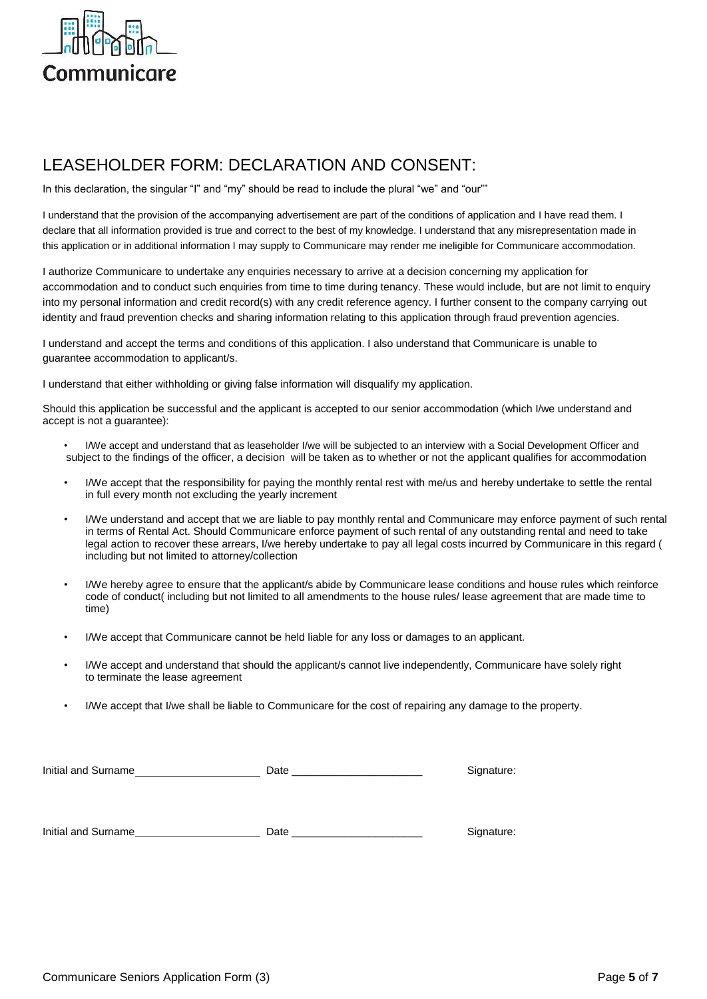

## LEASEHOLDER FORM: DECLARATION AND CONSENT:

In this declaration, the singular "I" and "my" should be read to include the plural "we" and "our""

I understand that the provision of the accompanying advertisement are part of the conditions of application and I have read them. I declare that all information provided is true and correct to the best of my knowledge. I understand that any misrepresentation made in this application or in additional information I may supply to Communicare may render me ineligible for Communicare accommodation.

I authorize Communicare to undertake any enquiries necessary to arrive at a decision concerning my application for accommodation and to conduct such enquiries from time to time during tenancy. These would include, but are not limit to enquiry into my personal information and credit record(s) with any credit reference agency. I further consent to the company carrying out identity and fraud prevention checks and sharing information relating to this application through fraud prevention agencies.

I understand and accept the terms and conditions of this application. I also understand that Communicare is unable to guarantee accommodation to applicant/s.

I understand that either withholding or giving false information will disqualify my application.

Should this application be successful and the applicant is accepted to our senior accommodation (which I/we understand and accept is not a guarantee):

- I/We accept and understand that as leaseholder I/we will be subjected to an interview with a Social Development Officer and subject to the findings of the officer, a decision will be taken as to whether or not the applicant qualifies for accommodation
- I/We accept that the responsibility for paying the monthly rental rest with me/us and hereby undertake to settle the rental in full every month not excluding the yearly increment
- I/We understand and accept that we are liable to pay monthly rental and Communicare may enforce payment of such rental in terms of Rental Act. Should Communicare enforce payment of such rental of any outstanding rental and need to take legal action to recover these arrears, I/we hereby undertake to pay all legal costs incurred by Communicare in this regard ( including but not limited to attorney/collection
- I/We hereby agree to ensure that the applicant/s abide by Communicare lease conditions and house rules which reinforce code of conduct( including but not limited to all amendments to the house rules/ lease agreement that are made time to time)
- I/We accept that Communicare cannot be held liable for any loss or damages to an applicant.
- I/We accept and understand that should the applicant/s cannot live independently, Communicare have solely right to terminate the lease agreement
- I/We accept that I/we shall be liable to Communicare for the cost of repairing any damage to the property.

| Initial and Surname | Date | Signature: |
|---------------------|------|------------|
|                     |      |            |
|                     |      |            |
| Initial and Surname | Date | Signature: |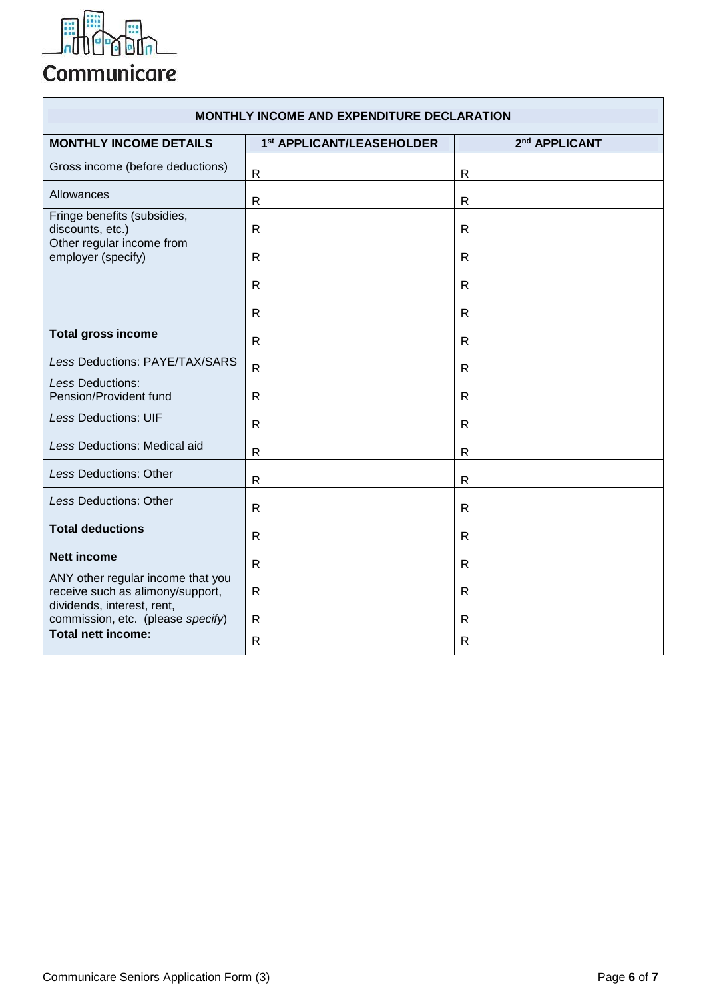

# Communicare

| <b>MONTHLY INCOME AND EXPENDITURE DECLARATION</b>                     |                           |                           |  |
|-----------------------------------------------------------------------|---------------------------|---------------------------|--|
| <b>MONTHLY INCOME DETAILS</b>                                         | 1st APPLICANT/LEASEHOLDER | 2 <sup>nd</sup> APPLICANT |  |
| Gross income (before deductions)                                      | $\mathsf{R}$              | $\mathsf{R}$              |  |
| Allowances                                                            | R                         | R                         |  |
| Fringe benefits (subsidies,<br>discounts, etc.)                       | R                         | $\mathsf{R}$              |  |
| Other regular income from<br>employer (specify)                       | R                         | $\mathsf{R}$              |  |
|                                                                       | $\mathsf{R}$              | $\mathsf{R}$              |  |
|                                                                       | $\mathsf{R}$              | $\mathsf{R}$              |  |
| <b>Total gross income</b>                                             | R                         | R                         |  |
| Less Deductions: PAYE/TAX/SARS                                        | $\mathsf{R}$              | $\mathsf{R}$              |  |
| Less Deductions:<br>Pension/Provident fund                            | $\mathsf{R}$              | R                         |  |
| <b>Less Deductions: UIF</b>                                           | $\mathsf{R}$              | $\mathsf{R}$              |  |
| Less Deductions: Medical aid                                          | $\mathsf{R}$              | R                         |  |
| Less Deductions: Other                                                | $\mathsf{R}$              | R                         |  |
| <b>Less Deductions: Other</b>                                         | $\mathsf{R}$              | $\mathsf{R}$              |  |
| <b>Total deductions</b>                                               | $\mathsf{R}$              | $\mathsf{R}$              |  |
| <b>Nett income</b>                                                    | $\mathsf{R}$              | $\mathsf{R}$              |  |
| ANY other regular income that you<br>receive such as alimony/support, | $\mathsf{R}$              | $\mathsf{R}$              |  |
| dividends, interest, rent,<br>commission, etc. (please specify)       | $\mathsf{R}$              | $\mathsf{R}$              |  |
| <b>Total nett income:</b>                                             | R                         | R                         |  |